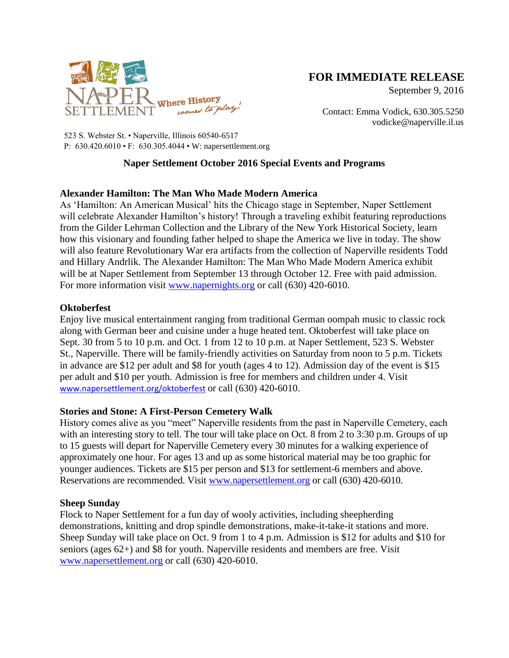

# **FOR IMMEDIATE RELEASE**

September 9, 2016

Contact: Emma Vodick, 630.305.5250 vodicke@naperville.il.us

523 S. Webster St. • Naperville, Illinois 60540-6517 P: 630.420.6010 • F: 630.305.4044 • W: napersettlement.org

# **Naper Settlement October 2016 Special Events and Programs**

# **Alexander Hamilton: The Man Who Made Modern America**

As 'Hamilton: An American Musical' hits the Chicago stage in September, Naper Settlement will celebrate Alexander Hamilton's history! Through a traveling exhibit featuring reproductions from the Gilder Lehrman Collection and the Library of the New York Historical Society, learn how this visionary and founding father helped to shape the America we live in today. The show will also feature Revolutionary War era artifacts from the collection of Naperville residents Todd and Hillary Andrlik. The Alexander Hamilton: The Man Who Made Modern America exhibit will be at Naper Settlement from September 13 through October 12. Free with paid admission. For more information visit [www.napernights.org](http://www.napernights.org/) or call (630) 420-6010.

### **Oktoberfest**

Enjoy live musical entertainment ranging from traditional German oompah music to classic rock along with German beer and cuisine under a huge heated tent. Oktoberfest will take place on Sept. 30 from 5 to 10 p.m. and Oct. 1 from 12 to 10 p.m. at Naper Settlement, 523 S. Webster St., Naperville. There will be family-friendly activities on Saturday from noon to 5 p.m. Tickets in advance are \$12 per adult and \$8 for youth (ages 4 to 12). Admission day of the event is \$15 per adult and \$10 per youth. Admission is free for members and children under 4. Visit [www.napersettlement.org/oktoberfest](http://www.napersettlement.org/oktoberfest) or call (630) 420-6010.

### **Stories and Stone: A First-Person Cemetery Walk**

History comes alive as you "meet" Naperville residents from the past in Naperville Cemetery, each with an interesting story to tell. The tour will take place on Oct. 8 from 2 to 3:30 p.m. Groups of up to 15 guests will depart for Naperville Cemetery every 30 minutes for a walking experience of approximately one hour. For ages 13 and up as some historical material may be too graphic for younger audiences. Tickets are \$15 per person and \$13 for settlement-6 members and above. Reservations are recommended. Visit [www.napersettlement.org](http://www.napersettlement.org/) or call (630) 420-6010.

#### **Sheep Sunday**

Flock to Naper Settlement for a fun day of wooly activities, including sheepherding demonstrations, knitting and drop spindle demonstrations, make-it-take-it stations and more. Sheep Sunday will take place on Oct. 9 from 1 to 4 p.m. Admission is \$12 for adults and \$10 for seniors (ages 62+) and \$8 for youth. Naperville residents and members are free. Visit [www.napersettlement.org](http://www.napersettlement.org/) or call (630) 420-6010.